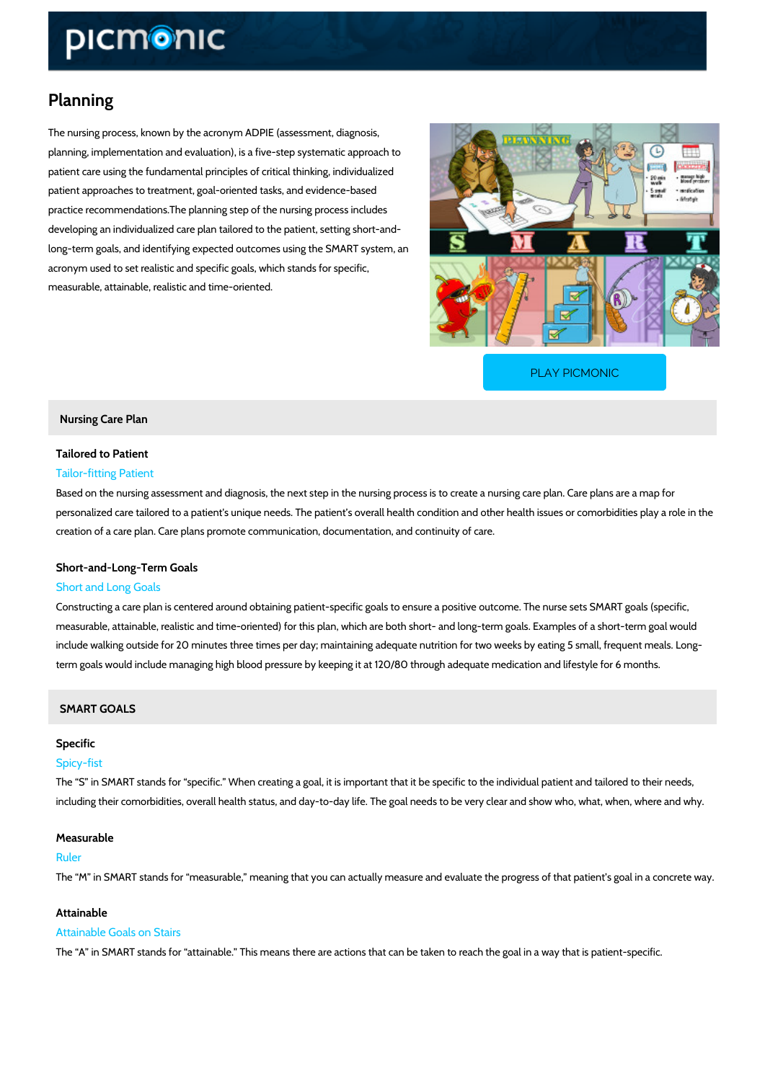# Planning

The nursing process, known by the acronym ADPIE (assessment, diagnosis, planning, implementation and evaluation), is a five-step systematic approach to patient care using the fundamental principles of critical thinking, individualized patient approaches to treatment, goal-oriented tasks, and evidence-based practice recommendations.The planning step of the nursing process includes developing an individualized care plan tailored to the patient, setting short-and long-term goals, and identifying expected outcomes using the SMART system, an acronym used to set realistic and specific goals, which stands for specific, measurable, attainable, realistic and time-oriented.

[PLAY PICMONIC](https://www.picmonic.com/learn/planning_8626?utm_source=downloadable_content&utm_medium=distributedcontent&utm_campaign=pathways_pdf&utm_content=Planning&utm_ad_group=leads&utm_market=all)

Nursing Care Plan

# Tailored to Patient Tailor-fitting Patient

Based on the nursing assessment and diagnosis, the next step in the nursing process is to cre personalized care tailored to a patient's unique needs. The patient s overall health condition creation of a care plan. Care plans promote communication, documentation, and continuity of

## Short-and-Long-Term Goals

### Short and Long Goals

Constructing a care plan is centered around obtaining patient-specific goals to ensure a posit measurable, attainable, realistic and time-oriented) for this plan, which are both short- and Id include walking outside for 20 minutes three times per day; maintaining adequate nutrition for term goals would include managing high blood pressure by keeping it at 120/80 through adequ

### SMART GOALS

# Specific

#### Spicy-fist

The S in SMART stands for specific. When creating a goal, it is important that it be specif including their comorbidities, overall health status, and day-to-day life. The goal needs to be

#### Measurable

#### Ruler

The M in SMART stands for measurable, meaning that you can actually measure and evalua

### Attainable

#### Attainable Goals on Stairs

The A in SMART stands for attainable. This means there are actions that can be taken to r